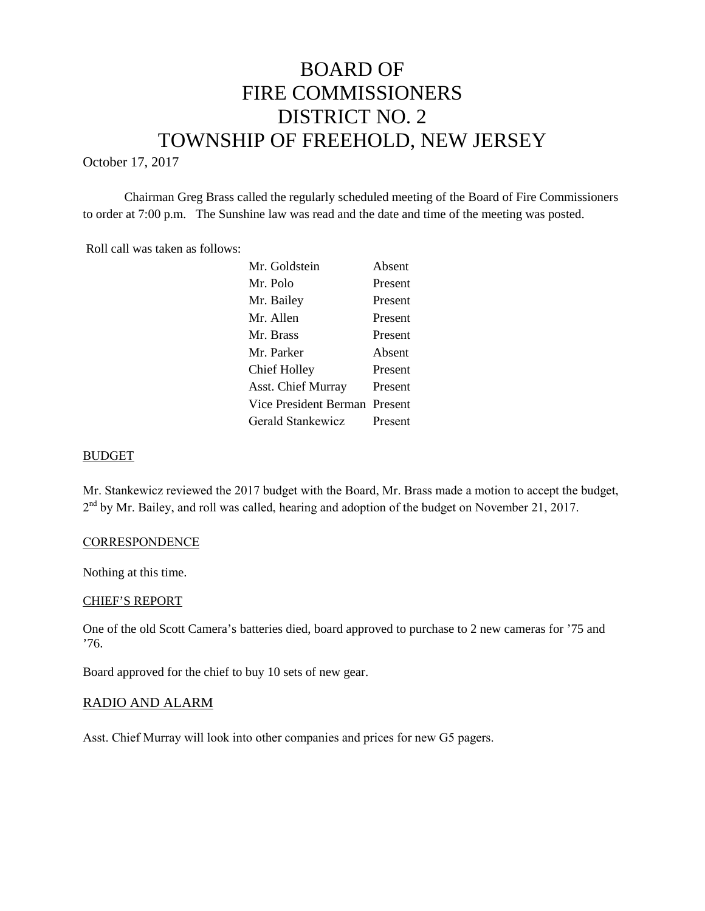# BOARD OF FIRE COMMISSIONERS DISTRICT NO. 2 TOWNSHIP OF FREEHOLD, NEW JERSEY

October 17, 2017

Chairman Greg Brass called the regularly scheduled meeting of the Board of Fire Commissioners to order at 7:00 p.m. The Sunshine law was read and the date and time of the meeting was posted.

Roll call was taken as follows:

| Mr. Goldstein                 | Absent  |
|-------------------------------|---------|
| Mr. Polo                      | Present |
| Mr. Bailey                    | Present |
| Mr. Allen                     | Present |
| Mr. Brass                     | Present |
| Mr. Parker                    | Absent  |
| <b>Chief Holley</b>           | Present |
| <b>Asst. Chief Murray</b>     | Present |
| Vice President Berman Present |         |
| Gerald Stankewicz             | Present |

## BUDGET

Mr. Stankewicz reviewed the 2017 budget with the Board, Mr. Brass made a motion to accept the budget, 2<sup>nd</sup> by Mr. Bailey, and roll was called, hearing and adoption of the budget on November 21, 2017.

## **CORRESPONDENCE**

Nothing at this time.

## CHIEF'S REPORT

One of the old Scott Camera's batteries died, board approved to purchase to 2 new cameras for '75 and '76.

Board approved for the chief to buy 10 sets of new gear.

#### RADIO AND ALARM

Asst. Chief Murray will look into other companies and prices for new G5 pagers.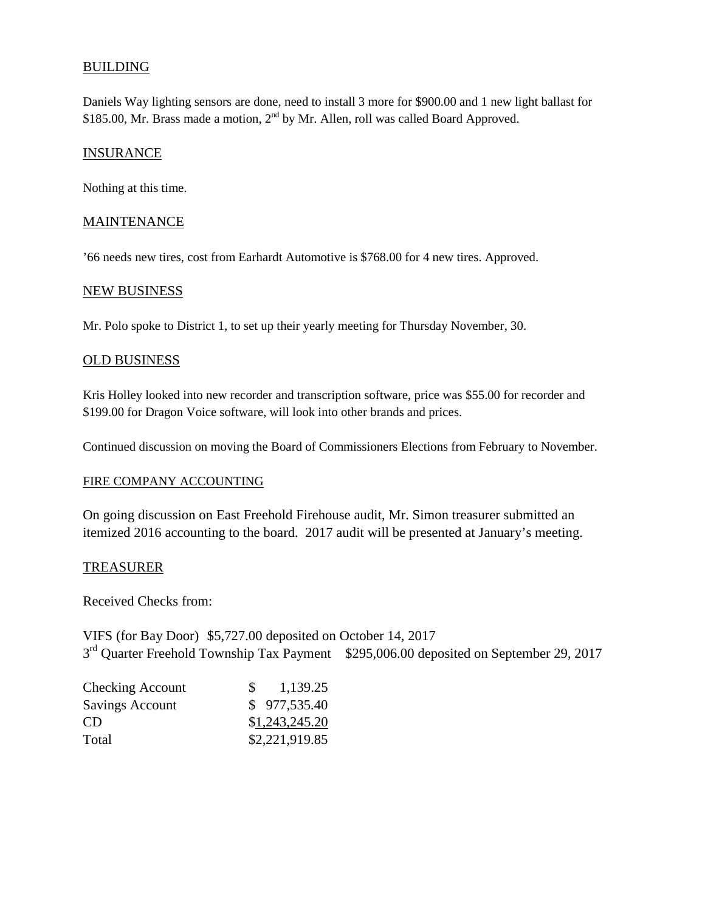# BUILDING

Daniels Way lighting sensors are done, need to install 3 more for \$900.00 and 1 new light ballast for \$185.00, Mr. Brass made a motion,  $2<sup>nd</sup>$  by Mr. Allen, roll was called Board Approved.

## **INSURANCE**

Nothing at this time.

## **MAINTENANCE**

'66 needs new tires, cost from Earhardt Automotive is \$768.00 for 4 new tires. Approved.

#### NEW BUSINESS

Mr. Polo spoke to District 1, to set up their yearly meeting for Thursday November, 30.

## OLD BUSINESS

Kris Holley looked into new recorder and transcription software, price was \$55.00 for recorder and \$199.00 for Dragon Voice software, will look into other brands and prices.

Continued discussion on moving the Board of Commissioners Elections from February to November.

#### FIRE COMPANY ACCOUNTING

On going discussion on East Freehold Firehouse audit, Mr. Simon treasurer submitted an itemized 2016 accounting to the board. 2017 audit will be presented at January's meeting.

## TREASURER

Received Checks from:

VIFS (for Bay Door) \$5,727.00 deposited on October 14, 2017 3<sup>rd</sup> Quarter Freehold Township Tax Payment \$295,006.00 deposited on September 29, 2017

| <b>Checking Account</b> | 1,139.25       |
|-------------------------|----------------|
| Savings Account         | \$977,535.40   |
| CD.                     | \$1,243,245.20 |
| Total                   | \$2,221,919.85 |